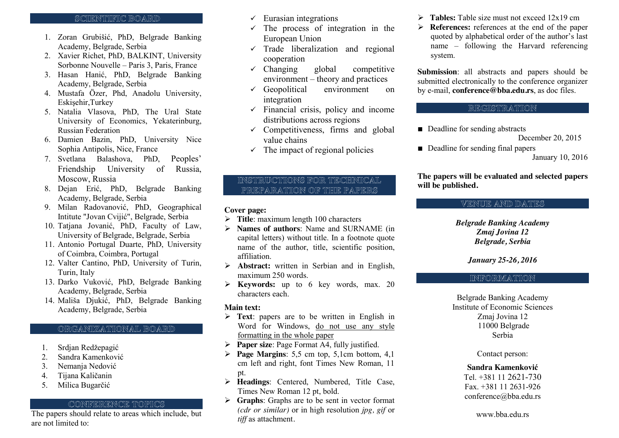#### SCIIENTIIFIC BOARD

- 1. Zoran Grubišić, PhD, Belgrade Banking Academy, Belgrade, Serbia
- 2. Xavier Richet, PhD, BALKINT, University Sorbonne Nouvelle – Paris 3, Paris, France
- 3. Hasan Hanić, PhD, Belgrade Banking Academy, Belgrade, Serbia
- 4. Mustafa Özer, Phd, Anadolu University, Eskişehir,Turkey
- 5. Natalia Vlasova, PhD, The Ural State University of Economics, Yekaterinburg, Russian Federation
- 6. Damien Bazin, PhD, University Nice Sophia Antipolis, Nice, France
- 7. Svetlana Balashova, PhD, Peoples' Friendship University of Russia, Moscow, Russia
- 8. Dejan Erić, PhD, Belgrade Banking Academy, Belgrade, Serbia
- 9. Milan Radovanović, PhD, Geographical Intitute "Jovan Cvijić", Belgrade, Serbia
- 10. Tatjana Jovanić, PhD, Faculty of Law, University of Belgrade, Belgrade, Serbia
- 11. Antonio Portugal Duarte, PhD, University of Coimbra, Coimbra, Portugal
- 12. Valter Cantino, PhD, University of Turin, Turin, Italy
- 13. Darko Vuković, PhD, Belgrade Banking Academy, Belgrade, Serbia
- 14. Mališa Djukić, PhD, Belgrade Banking Academy, Belgrade, Serbia

## ORGANIZATIONAL BOARD

- 1. Srdjan Redžepagić
- 2. Sandra Kamenković
- 3. Nemanja Nedović
- 4. Tijana Kaličanin
- 5. Milica Bugarčić

## CONFERENCE TOPICS

The papers should relate to areas which include, but are not limited to:

- $\checkmark$  Eurasian integrations
- $\checkmark$  The process of integration in the European Union
- $\checkmark$  Trade liberalization and regional cooperation
- $\checkmark$  Changing global competitive environment – theory and practices
- $\checkmark$  Geopolitical environment on integration
- $\checkmark$  Financial crisis, policy and income distributions across regions
- $\checkmark$  Competitiveness, firms and global value chains
- $\checkmark$  The impact of regional policies

## INSTRUCTIONS FOR TECHNICAL PREPARATION OF THE PAPERS

#### **Cover page:**

- ¾ **Title**: maximum length 100 characters
- ¾ **Names of authors**: Name and SURNAME (in capital letters) without title. In a footnote quote name of the author, title, scientific position, affiliation.
- ¾ **Abstract:** written in Serbian and in English, maximum 250 words.
- ¾ **Keywords:** up to 6 key words, max. 20 characters each.

## **Main text:**

- ¾ **Text**: papers are to be written in English in Word for Windows, do not use any style formatting in the whole paper
- ¾ **Paper size**: Page Format A4, fully justified.
- ¾ **Page Margins**: 5,5 cm top, 5,1cm bottom, 4,1 cm left and right, font Times New Roman, 11 pt.
- ¾ **Headings**: Centered, Numbered, Title Case, Times New Roman 12 pt, bold.
- ¾ **Graphs**: Graphs are to be sent in vector format *(cdr or similar)* or in high resolution *jpg, gif* or *tiff* as attachment*.*
- ¾ **Tables:** Table size must not exceed 12x19 cm
- ¾ **References:** references at the end of the paper quoted by alphabetical order of the author's last name – following the Harvard referencing system.

**Submission**: all abstracts and papers should be submitted electronically to the conference organizer by e-mail, **conference@bba.edu.rs**, as doc files.

## REGISTRATION

■ Deadline for sending abstracts

December 20, 2015

■ Deadline for sending final papers

January 10, 2016

## **The papers will be evaluated and selected papers will be published.**

# VENUE AND DATES

*Belgrade Banking Academy Zmaj Jovina 12 Belgrade, Serbia*

*January 25-26, 2016*

## INFORMATION

Belgrade Banking Academy Institute of Economic Sciences Zmaj Jovina 12 11000 Belgrade Serbia

Contact person:

#### **Sandra Kamenković**

Tel. +381 11 2621-730 Fax. +381 11 2631-926 conference@bba.edu.rs